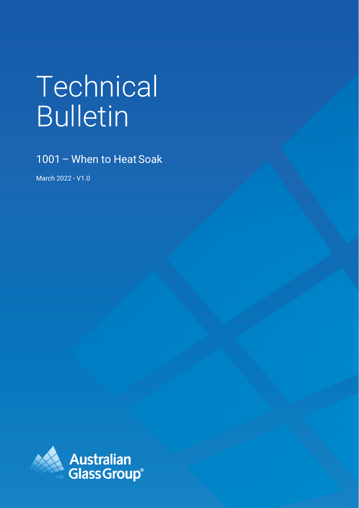# Technical Bulletin

1001– When to Heat Soak

March 2022 - V1.0

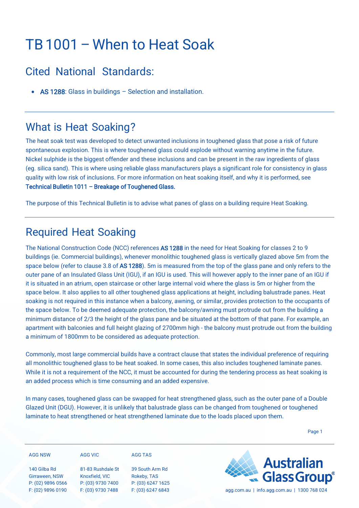## TB 1001 – When to Heat Soak

#### Cited National Standards:

• AS 1288: Glass in buildings – Selection and installation.

#### What is Heat Soaking?

The heat soak test was developed to detect unwanted inclusions in toughened glass that pose a risk of future spontaneous explosion. This is where toughened glass could explode without warning anytime in the future. Nickel sulphide is the biggest offender and these inclusions and can be present in the raw ingredients of glass (eg. silica sand). This is where using reliable glass manufacturers plays a significant role for consistency in glass quality with low risk of inclusions. For more information on heat soaking itself, and why it is performed, see [Technical Bulletin 1011 – Breakage of Toughened Glass.](https://agg.com.au/wp-content/uploads/2022/03/AGG-Technical-Bulletin-1011-Breakage-of-Toughened-Glass.pdf) 

The purpose of this Technical Bulletin is to advise what panes of glass on a building require Heat Soaking.

### Required Heat Soaking

The National Construction Code (NCC) references AS 1288 in the need for Heat Soaking for classes 2 to 9 buildings (ie. Commercial buildings), whenever monolithic toughened glass is vertically glazed above 5m from the space below (refer to clause 3.8 of AS 1288). 5m is measured from the top of the glass pane and only refers to the outer pane of an Insulated Glass Unit (IGU), if an IGU is used. This will however apply to the inner pane of an IGU if it is situated in an atrium, open staircase or other large internal void where the glass is 5m or higher from the space below. It also applies to all other toughened glass applications at height, including balustrade panes. Heat soaking is not required in this instance when a balcony, awning, or similar, provides protection to the occupants of the space below. To be deemed adequate protection, the balcony/awning must protrude out from the building a minimum distance of 2/3 the height of the glass pane and be situated at the bottom of that pane. For example, an apartment with balconies and full height glazing of 2700mm high - the balcony must protrude out from the building a minimum of 1800mm to be considered as adequate protection.

Commonly, most large commercial builds have a contract clause that states the individual preference of requiring all monolithic toughened glass to be heat soaked. In some cases, this also includes toughened laminate panes. While it is not a requirement of the NCC, it must be accounted for during the tendering process as heat soaking is an added process which is time consuming and an added expensive.

In many cases, toughened glass can be swapped for heat strengthened glass, such as the outer pane of a Double Glazed Unit (DGU). However, it is unlikely that balustrade glass can be changed from toughened or toughened laminate to heat strengthened or heat strengthened laminate due to the loads placed upon them.

Page 1

| <b>AGG NSW</b> |  |  |
|----------------|--|--|

140 Gilba Rd

**AGG VIC**

Girraween, NSW P: (02) 9896 0566 F: (02) 9896 0190

81-83 Rushdale St Knoxfield, VIC P: (03) 9730 7400 F: (03) 9730 7488

39 South Arm Rd Rokeby, TAS P: (03) 6247 1625

**AGG TAS**



F: (03) 6247 6843 agg.com.au | info.agg.com.au | 1300 768 024